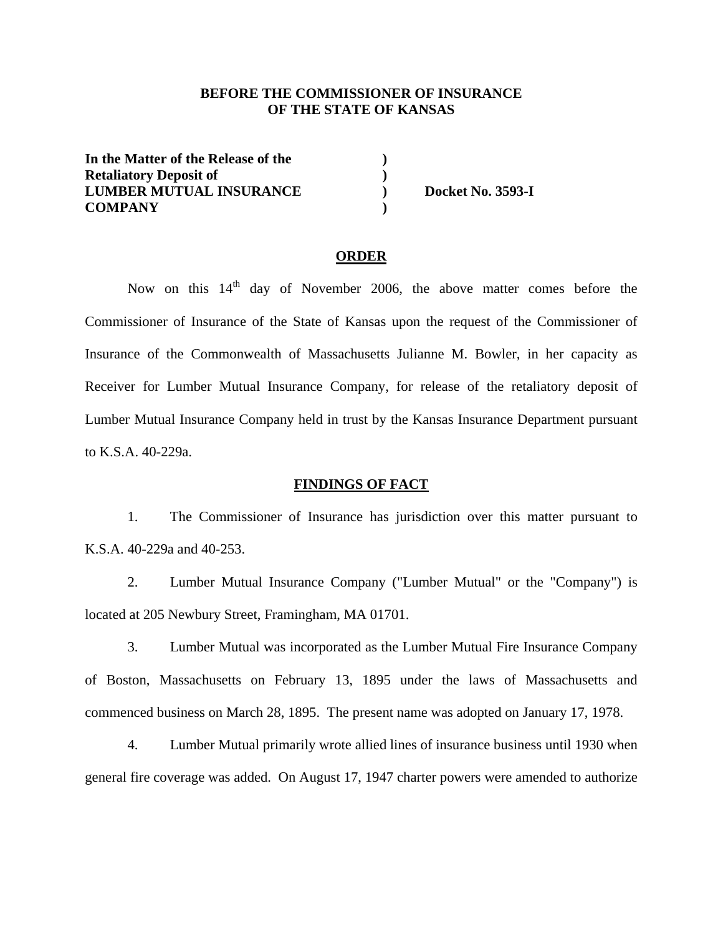## **BEFORE THE COMMISSIONER OF INSURANCE OF THE STATE OF KANSAS**

**In the Matter of the Release of the ) Retaliatory Deposit of**  ) **LUMBER MUTUAL INSURANCE ) Docket No. 3593-I COMPANY )** 

#### **ORDER**

Now on this  $14<sup>th</sup>$  day of November 2006, the above matter comes before the Commissioner of Insurance of the State of Kansas upon the request of the Commissioner of Insurance of the Commonwealth of Massachusetts Julianne M. Bowler, in her capacity as Receiver for Lumber Mutual Insurance Company, for release of the retaliatory deposit of Lumber Mutual Insurance Company held in trust by the Kansas Insurance Department pursuant to K.S.A. 40-229a.

### **FINDINGS OF FACT**

 1. The Commissioner of Insurance has jurisdiction over this matter pursuant to K.S.A. 40-229a and 40-253.

 2. Lumber Mutual Insurance Company ("Lumber Mutual" or the "Company") is located at 205 Newbury Street, Framingham, MA 01701.

 3. Lumber Mutual was incorporated as the Lumber Mutual Fire Insurance Company of Boston, Massachusetts on February 13, 1895 under the laws of Massachusetts and commenced business on March 28, 1895. The present name was adopted on January 17, 1978.

 4. Lumber Mutual primarily wrote allied lines of insurance business until 1930 when general fire coverage was added. On August 17, 1947 charter powers were amended to authorize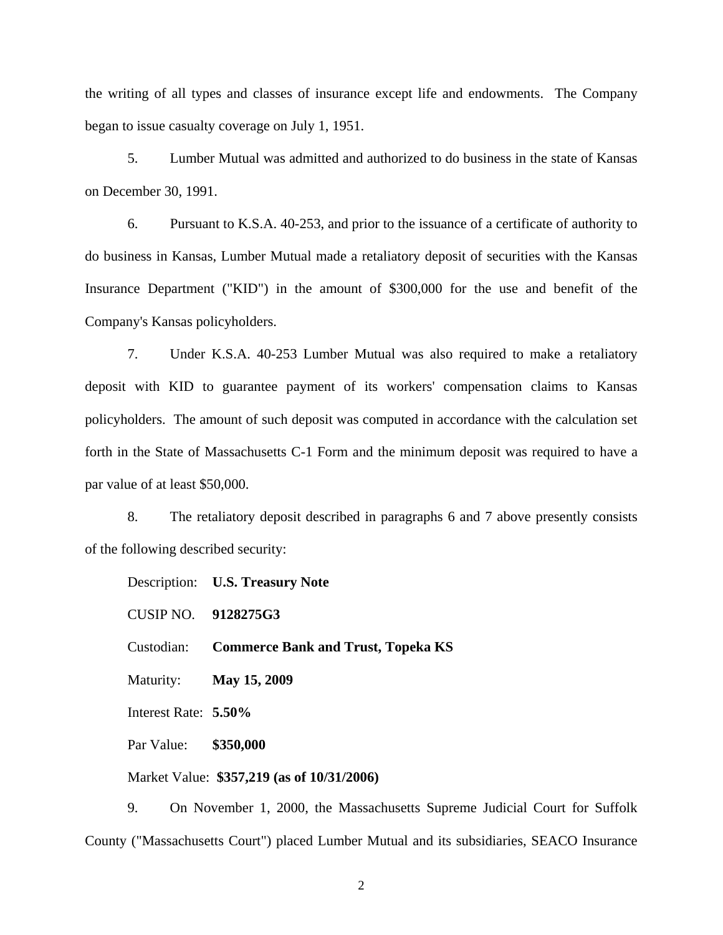the writing of all types and classes of insurance except life and endowments. The Company began to issue casualty coverage on July 1, 1951.

 5. Lumber Mutual was admitted and authorized to do business in the state of Kansas on December 30, 1991.

 6. Pursuant to K.S.A. 40-253, and prior to the issuance of a certificate of authority to do business in Kansas, Lumber Mutual made a retaliatory deposit of securities with the Kansas Insurance Department ("KID") in the amount of \$300,000 for the use and benefit of the Company's Kansas policyholders.

 7. Under K.S.A. 40-253 Lumber Mutual was also required to make a retaliatory deposit with KID to guarantee payment of its workers' compensation claims to Kansas policyholders. The amount of such deposit was computed in accordance with the calculation set forth in the State of Massachusetts C-1 Form and the minimum deposit was required to have a par value of at least \$50,000.

 8. The retaliatory deposit described in paragraphs 6 and 7 above presently consists of the following described security:

Description: **U.S. Treasury Note** CUSIP NO. **9128275G3** Custodian: **Commerce Bank and Trust, Topeka KS** Maturity: **May 15, 2009** Interest Rate: **5.50%** Par Value: **\$350,000** Market Value: **\$357,219 (as of 10/31/2006)**

 9. On November 1, 2000, the Massachusetts Supreme Judicial Court for Suffolk County ("Massachusetts Court") placed Lumber Mutual and its subsidiaries, SEACO Insurance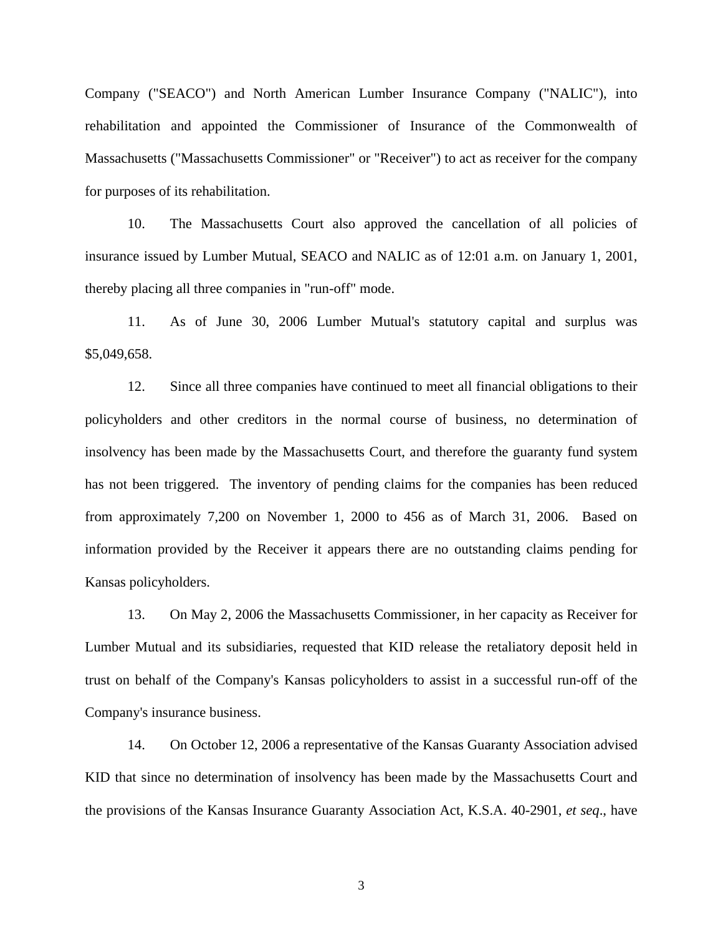Company ("SEACO") and North American Lumber Insurance Company ("NALIC"), into rehabilitation and appointed the Commissioner of Insurance of the Commonwealth of Massachusetts ("Massachusetts Commissioner" or "Receiver") to act as receiver for the company for purposes of its rehabilitation.

 10. The Massachusetts Court also approved the cancellation of all policies of insurance issued by Lumber Mutual, SEACO and NALIC as of 12:01 a.m. on January 1, 2001, thereby placing all three companies in "run-off" mode.

 11. As of June 30, 2006 Lumber Mutual's statutory capital and surplus was \$5,049,658.

 12. Since all three companies have continued to meet all financial obligations to their policyholders and other creditors in the normal course of business, no determination of insolvency has been made by the Massachusetts Court, and therefore the guaranty fund system has not been triggered. The inventory of pending claims for the companies has been reduced from approximately 7,200 on November 1, 2000 to 456 as of March 31, 2006. Based on information provided by the Receiver it appears there are no outstanding claims pending for Kansas policyholders.

 13. On May 2, 2006 the Massachusetts Commissioner, in her capacity as Receiver for Lumber Mutual and its subsidiaries, requested that KID release the retaliatory deposit held in trust on behalf of the Company's Kansas policyholders to assist in a successful run-off of the Company's insurance business.

 14. On October 12, 2006 a representative of the Kansas Guaranty Association advised KID that since no determination of insolvency has been made by the Massachusetts Court and the provisions of the Kansas Insurance Guaranty Association Act, K.S.A. 40-2901, *et seq*., have

3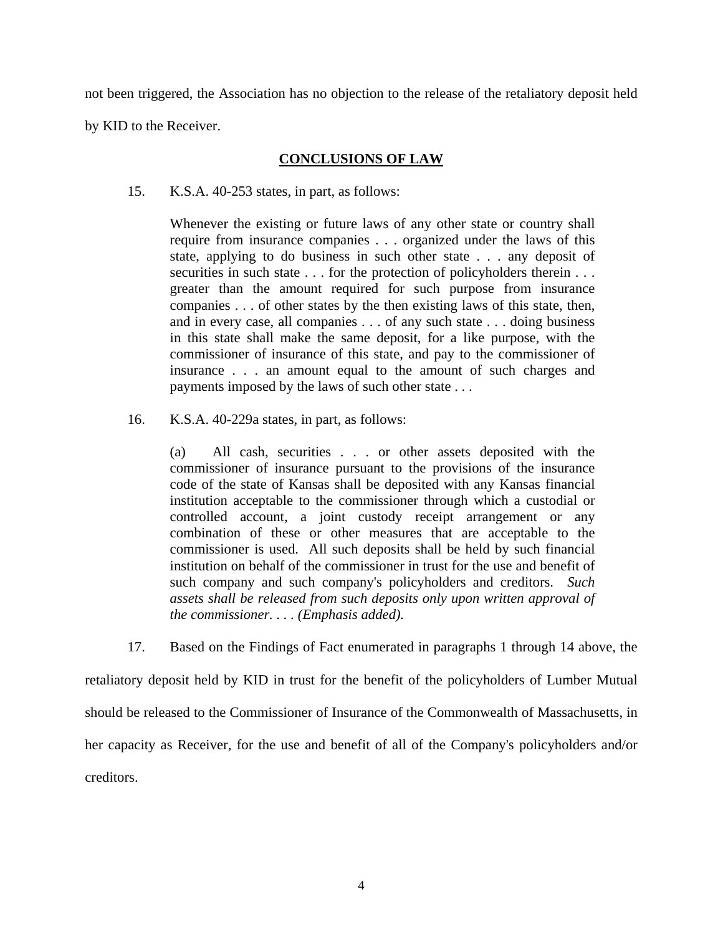not been triggered, the Association has no objection to the release of the retaliatory deposit held by KID to the Receiver.

# **CONCLUSIONS OF LAW**

15. K.S.A. 40-253 states, in part, as follows:

Whenever the existing or future laws of any other state or country shall require from insurance companies . . . organized under the laws of this state, applying to do business in such other state . . . any deposit of securities in such state . . . for the protection of policyholders therein . . . greater than the amount required for such purpose from insurance companies . . . of other states by the then existing laws of this state, then, and in every case, all companies . . . of any such state . . . doing business in this state shall make the same deposit, for a like purpose, with the commissioner of insurance of this state, and pay to the commissioner of insurance . . . an amount equal to the amount of such charges and payments imposed by the laws of such other state . . .

16. K.S.A. 40-229a states, in part, as follows:

(a) All cash, securities . . . or other assets deposited with the commissioner of insurance pursuant to the provisions of the insurance code of the state of Kansas shall be deposited with any Kansas financial institution acceptable to the commissioner through which a custodial or controlled account, a joint custody receipt arrangement or any combination of these or other measures that are acceptable to the commissioner is used. All such deposits shall be held by such financial institution on behalf of the commissioner in trust for the use and benefit of such company and such company's policyholders and creditors. *Such assets shall be released from such deposits only upon written approval of the commissioner. . . . (Emphasis added).* 

 17. Based on the Findings of Fact enumerated in paragraphs 1 through 14 above, the retaliatory deposit held by KID in trust for the benefit of the policyholders of Lumber Mutual should be released to the Commissioner of Insurance of the Commonwealth of Massachusetts, in her capacity as Receiver, for the use and benefit of all of the Company's policyholders and/or creditors.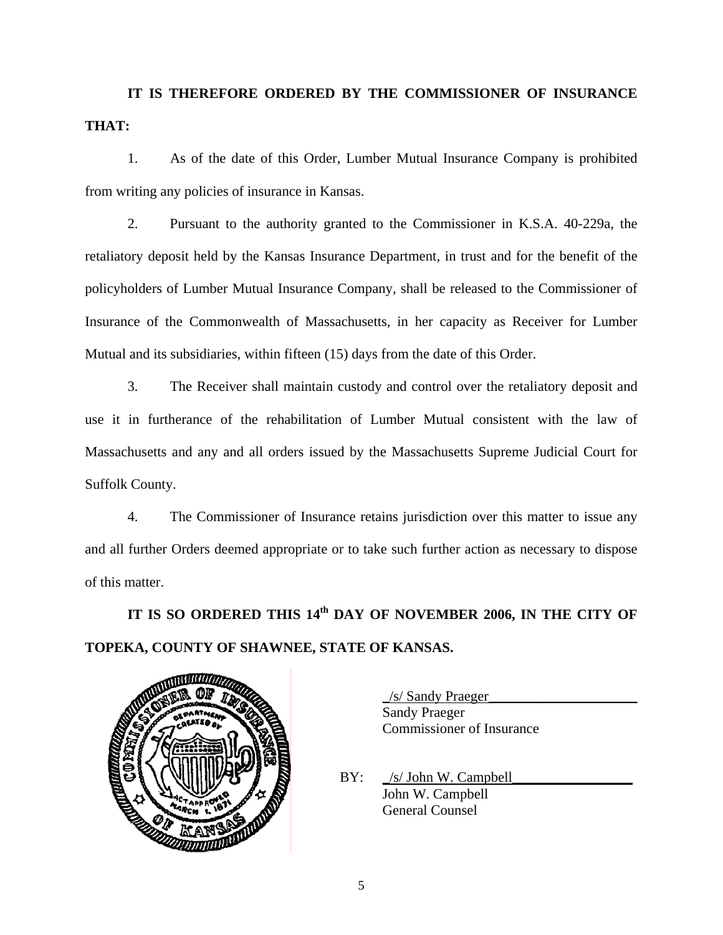**IT IS THEREFORE ORDERED BY THE COMMISSIONER OF INSURANCE THAT:** 

 1. As of the date of this Order, Lumber Mutual Insurance Company is prohibited from writing any policies of insurance in Kansas.

 2. Pursuant to the authority granted to the Commissioner in K.S.A. 40-229a, the retaliatory deposit held by the Kansas Insurance Department, in trust and for the benefit of the policyholders of Lumber Mutual Insurance Company, shall be released to the Commissioner of Insurance of the Commonwealth of Massachusetts, in her capacity as Receiver for Lumber Mutual and its subsidiaries, within fifteen (15) days from the date of this Order.

 3. The Receiver shall maintain custody and control over the retaliatory deposit and use it in furtherance of the rehabilitation of Lumber Mutual consistent with the law of Massachusetts and any and all orders issued by the Massachusetts Supreme Judicial Court for Suffolk County.

 4. The Commissioner of Insurance retains jurisdiction over this matter to issue any and all further Orders deemed appropriate or to take such further action as necessary to dispose of this matter.

IT IS SO ORDERED THIS 14<sup>th</sup> DAY OF NOVEMBER 2006, IN THE CITY OF **TOPEKA, COUNTY OF SHAWNEE, STATE OF KANSAS.** 



 \_/s/ Sandy Praeger\_\_\_\_\_\_\_\_\_\_\_\_\_\_\_\_\_\_\_\_\_ Sandy Praeger Commissioner of Insurance

 $BY:$  /s/ John W. Campbell John W. Campbell General Counsel

5